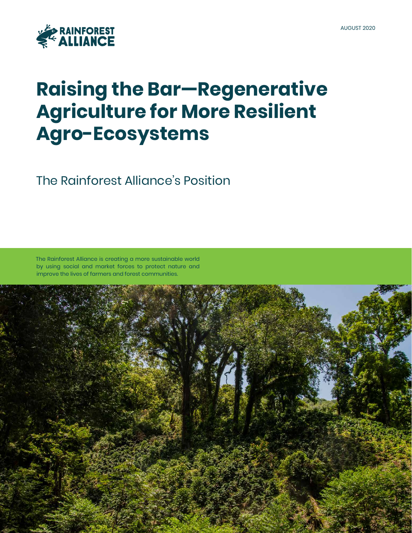

# **Raising the Bar—Regenerative Agriculture for More Resilient Agro-Ecosystems**

The Rainforest Alliance's Position

The Rainforest Alliance is creating a more sustainable world by using social and market forces to protect nature and improve the lives of farmers and forest communities.

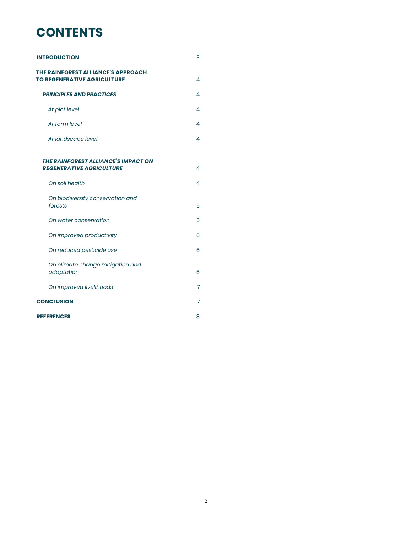# **CONTENTS**

| <b>INTRODUCTION</b>                                                      | 3 |
|--------------------------------------------------------------------------|---|
| THE RAINFOREST ALLIANCE'S APPROACH<br><b>TO REGENERATIVE AGRICULTURE</b> | 4 |
| <b>PRINCIPLES AND PRACTICES</b>                                          | 4 |
| At plot level                                                            | 4 |
| At farm level                                                            | 4 |
| At landscape level                                                       | 4 |
| THE RAINFOREST ALLIANCE'S IMPACT ON                                      |   |
| <b>REGENERATIVE AGRICULTURE</b>                                          | 4 |
| On soil health                                                           | 4 |
| On biodiversity conservation and<br>forests                              | 5 |
| On water conservation                                                    | 5 |
| On improved productivity                                                 | 6 |
| On reduced pesticide use                                                 | 6 |
| On climate change mitigation and<br>adaptation                           | 6 |
| On improved livelihoods                                                  | 7 |
| <b>CONCLUSION</b>                                                        | 7 |
| <b>REFERENCES</b>                                                        | 8 |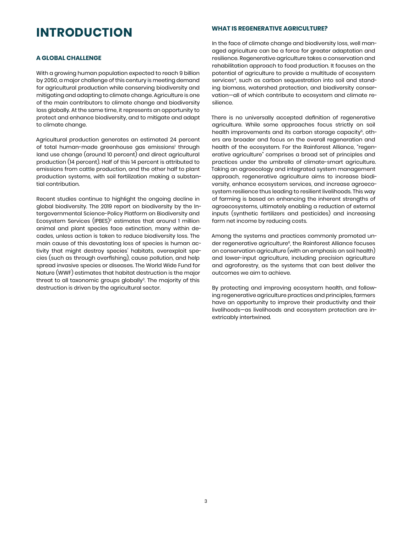### **INTRODUCTION**

#### **A GLOBAL CHALLENGE**

With a growing human population expected to reach 9 billion by 2050, a major challenge of this century is meeting demand for agricultural production while conserving biodiversity and mitigating and adapting to climate change. Agriculture is one of the main contributors to climate change and biodiversity loss globally. At the same time, it represents an opportunity to protect and enhance biodiversity, and to mitigate and adapt to climate change.

Agricultural production generates an estimated 24 percent of total human-made greenhouse gas emissions' through land use change (around 10 percent) and direct agricultural production (14 percent). Half of this 14 percent is attributed to emissions from cattle production, and the other half to plant production systems, with soil fertilization making a substantial contribution.

Recent studies continue to highlight the ongoing decline in global biodiversity. The 2019 report on biodiversity by the Intergovernmental Science-Policy Platform on Biodiversity and Ecosystem Services (IPBES)2 estimates that around 1 million animal and plant species face extinction, many within decades, unless action is taken to reduce biodiversity loss. The main cause of this devastating loss of species is human activity that might destroy species' habitats, overexploit species (such as through overfishing), cause pollution, and help spread invasive species or diseases. The World Wide Fund for Nature (WWF) estimates that habitat destruction is the major threat to all taxonomic groups globally<sup>3</sup>. The majority of this destruction is driven by the agricultural sector.

#### **WHAT IS REGENERATIVE AGRICULTURE?**

In the face of climate change and biodiversity loss, well managed agriculture can be a force for greater adaptation and resilience. Regenerative agriculture takes a conservation and rehabilitation approach to food production. It focuses on the potential of agriculture to provide a multitude of ecosystem services<sup>4</sup>, such as carbon sequestration into soil and standing biomass, watershed protection, and biodiversity conservation—all of which contribute to ecosystem and climate resilience.

There is no universally accepted definition of regenerative agriculture. While some approaches focus strictly on soil health improvements and its carbon storage capacity<sup>5</sup>, others are broader and focus on the overall regeneration and health of the ecosystem. For the Rainforest Alliance, "regenerative agriculture" comprises a broad set of principles and practices under the umbrella of climate-smart agriculture. Taking an agroecology and integrated system management approach, regenerative agriculture aims to increase biodiversity, enhance ecosystem services, and increase agroecosystem resilience thus leading to resilient livelihoods. This way of farming is based on enhancing the inherent strengths of agroecosystems, ultimately enabling a reduction of external inputs (synthetic fertilizers and pesticides) and increasing farm net income by reducing costs.

Among the systems and practices commonly promoted under regenerative agriculture<sup>6</sup>, the Rainforest Alliance focuses on conservation agriculture (with an emphasis on soil health) and lower-input agriculture, including precision agriculture and agroforestry, as the systems that can best deliver the outcomes we aim to achieve.

By protecting and improving ecosystem health, and following regenerative agriculture practices and principles, farmers have an opportunity to improve their productivity and their livelihoods—as livelihoods and ecosystem protection are inextricably intertwined.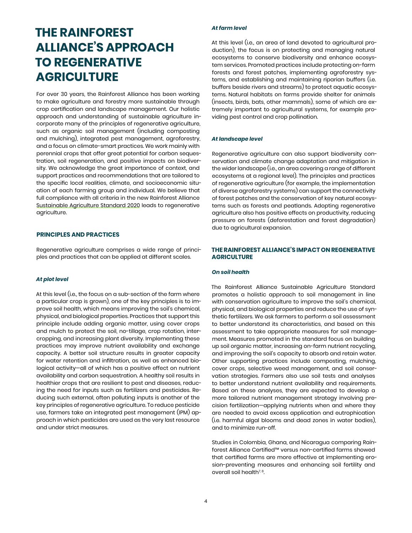# **THE RAINFOREST ALLIANCE'S APPROACH TO REGENERATIVE AGRICULTURE**

For over 30 years, the Rainforest Alliance has been working to make agriculture and forestry more sustainable through crop certification and landscape management. Our holistic approach and understanding of sustainable agriculture incorporate many of the principles of regenerative agriculture, such as organic soil management (including composting and mulching), integrated pest management, agroforestry, and a focus on climate-smart practices. We work mainly with perennial crops that offer great potential for carbon sequestration, soil regeneration, and positive impacts on biodiversity. We acknowledge the great importance of context, and support practices and recommendations that are tailored to the specific local realities, climate, and socioeconomic situation of each farming group and individual. We believe that full compliance with all criteria in the new Rainforest Alliance [Sustainable Agriculture Standard 2020](https://www.rainforest-alliance.org/business/tag/2020-certification-program/) leads to regenerative agriculture.

#### **PRINCIPLES AND PRACTICES**

Regenerative agriculture comprises a wide range of principles and practices that can be applied at different scales.

#### *At plot level*

At this level (i.e., the focus on a sub-section of the farm where a particular crop is grown), one of the key principles is to improve soil health, which means improving the soil's chemical, physical, and biological properties. Practices that support this principle include adding organic matter, using cover crops and mulch to protect the soil, no-tillage, crop rotation, intercropping, and increasing plant diversity. Implementing these practices may improve nutrient availability and exchange capacity. A better soil structure results in greater capacity for water retention and infiltration, as well as enhanced biological activity—all of which has a positive effect on nutrient availability and carbon sequestration. A healthy soil results in healthier crops that are resilient to pest and diseases, reducing the need for inputs such as fertilizers and pesticides. Reducing such external, often polluting inputs is another of the key principles of regenerative agriculture. To reduce pesticide use, farmers take an integrated pest management (IPM) approach in which pesticides are used as the very last resource and under strict measures.

#### *At farm level*

At this level (i.e., an area of land devoted to agricultural production), the focus is on protecting and managing natural ecosystems to conserve biodiversity and enhance ecosystem services. Promoted practices include protecting on-farm forests and forest patches, implementing agroforestry systems, and establishing and maintaining riparian buffers (i.e. buffers beside rivers and streams) to protect aquatic ecosystems. Natural habitats on farms provide shelter for animals (insects, birds, bats, other mammals), some of which are extremely important to agricultural systems, for example providing pest control and crop pollination.

#### *At landscape level*

Regenerative agriculture can also support biodiversity conservation and climate change adaptation and mitigation in the wider landscape (i.e., an area covering a range of different ecosystems at a regional level). The principles and practices of regenerative agriculture (for example, the implementation of diverse agroforestry systems) can support the connectivity of forest patches and the conservation of key natural ecosystems such as forests and peatlands. Adopting regenerative agriculture also has positive effects on productivity, reducing pressure on forests (deforestation and forest degradation) due to agricultural expansion.

#### **THE RAINFOREST ALLIANCE'S IMPACT ON REGENERATIVE AGRICULTURE**

#### *On soil health*

The Rainforest Alliance Sustainable Agriculture Standard promotes a holistic approach to soil management in line with conservation agriculture to improve the soil's chemical, physical, and biological properties and reduce the use of synthetic fertilizers. We ask farmers to perform a soil assessment to better understand its characteristics, and based on this assessment to take appropriate measures for soil management. Measures promoted in the standard focus on building up soil organic matter, increasing on-farm nutrient recycling, and improving the soil's capacity to absorb and retain water. Other supporting practices include composting, mulching, cover crops, selective weed management, and soil conservation strategies. Farmers also use soil tests and analyses to better understand nutrient availability and requirements. Based on these analyses, they are expected to develop a more tailored nutrient management strategy involving precision fertilization—applying nutrients when and where they are needed to avoid excess application and eutrophication (i.e. harmful algal blooms and dead zones in water bodies), and to minimize run-off.

Studies in Colombia, Ghana, and Nicaragua comparing Rainforest Alliance Certified™ versus non-certified farms showed that certified farms are more effective at implementing erosion-preventing measures and enhancing soil fertility and overall soil health $7,8$ .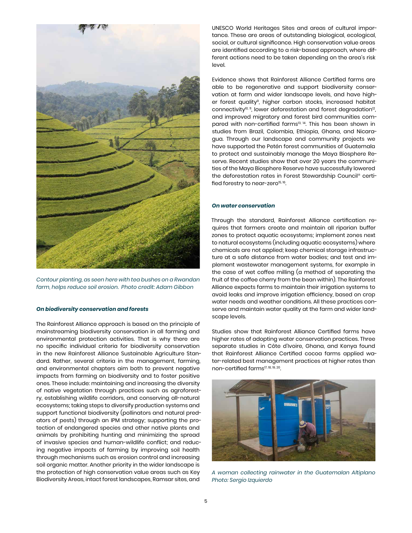

*Contour planting, as seen here with tea bushes on a Rwandan farm, helps reduce soil erosion. Photo credit: Adam Gibbon*

#### *On biodiversity conservation and forests*

The Rainforest Alliance approach is based on the principle of mainstreaming biodiversity conservation in all farming and environmental protection activities. That is why there are no specific individual criteria for biodiversity conservation in the new Rainforest Alliance Sustainable Agriculture Standard. Rather, several criteria in the management, farming, and environmental chapters aim both to prevent negative impacts from farming on biodiversity and to foster positive ones. These include: maintaining and increasing the diversity of native vegetation through practices such as agroforestry, establishing wildlife corridors, and conserving all-natural ecosystems; taking steps to diversify production systems and support functional biodiversity (pollinators and natural predators of pests) through an IPM strategy; supporting the protection of endangered species and other native plants and animals by prohibiting hunting and minimizing the spread of invasive species and human-wildlife conflict; and reducing negative impacts of farming by improving soil health through mechanisms such as erosion control and increasing soil organic matter. Another priority in the wider landscape is the protection of high conservation value areas such as Key Biodiversity Areas, intact forest landscapes, Ramsar sites, and

UNESCO World Heritages Sites and areas of cultural importance. These are areas of outstanding biological, ecological, social, or cultural significance. High conservation value areas are identified according to a risk-based approach, where different actions need to be taken depending on the area's risk level.

Evidence shows that Rainforest Alliance Certified farms are able to be regenerative and support biodiversity conservation at farm and wider landscape levels, and have higher forest quality<sup>9</sup>, higher carbon stocks, increased habitat connectivity<sup>10, 11</sup>, lower deforestation and forest degradation<sup>12</sup>, and improved migratory and forest bird communities compared with non-certified farms<sup>13, 14</sup>. This has been shown in studies from Brazil, Colombia, Ethiopia, Ghana, and Nicaragua. Through our landscape and community projects we have supported the Petén forest communities of Guatemala to protect and sustainably manage the Maya Biosphere Reserve. Recent studies show that over 20 years the communities of the Maya Biosphere Reserve have successfully lowered the deforestation rates in Forest Stewardship Council® certified forestry to near-zero<sup>15, 16</sup>.

#### *On water conservation*

Through the standard, Rainforest Alliance certification requires that farmers create and maintain all riparian buffer zones to protect aquatic ecosystems; implement zones next to natural ecosystems (including aquatic ecosystems) where chemicals are not applied; keep chemical storage infrastructure at a safe distance from water bodies; and test and implement wastewater management systems, for example in the case of wet coffee milling (a method of separating the fruit of the coffee cherry from the bean within). The Rainforest Alliance expects farms to maintain their irrigation systems to avoid leaks and improve irrigation efficiency, based on crop water needs and weather conditions. All these practices conserve and maintain water quality at the farm and wider landscape levels.

Studies show that Rainforest Alliance Certified farms have higher rates of adopting water conservation practices. Three separate studies in Côte d'Ivoire, Ghana, and Kenya found that Rainforest Alliance Certified cocoa farms applied water-related best management practices at higher rates than non-certified farms17, 18, 19, 20.



*A woman collecting rainwater in the Guatemalan Altiplano Photo: Sergio Izquierdo*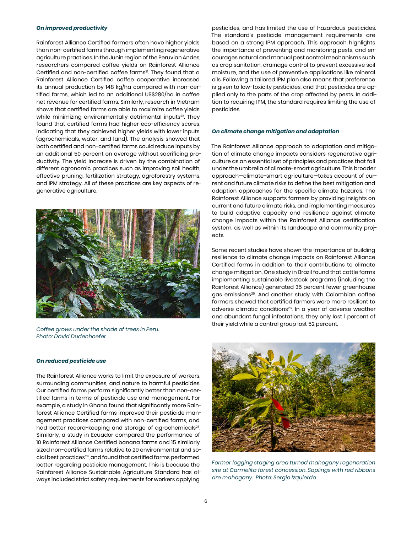#### *On improved productivity*

Rainforest Alliance Certified farmers often have higher yields than non-certified farms through implementing regenerative agriculture practices. In the Junin region of the Peruvian Andes, researchers compared coffee yields on Rainforest Alliance Certified and non-certified coffee farms<sup>21</sup>. They found that a Rainforest Alliance Certified coffee cooperative increased its annual production by 148 kg/ha compared with non-certified farms, which led to an additional US\$280/ha in coffee net revenue for certified farms. Similarly, research in Vietnam shows that certified farms are able to maximize coffee yields while minimizing environmentally detrimental inputs<sup>22</sup>. They found that certified farms had higher eco-efficiency scores, indicating that they achieved higher yields with lower inputs (agrochemicals, water, and land). The analysis showed that both certified and non-certified farms could reduce inputs by an additional 50 percent on average without sacrificing productivity. The yield increase is driven by the combination of different agronomic practices such as improving soil health, effective pruning, fertilization strategy, agroforestry systems, and IPM strategy. All of these practices are key aspects of regenerative agriculture.



*Coffee grows under the shade of trees in Peru. Photo: David Dudenhoefer*

#### *On reduced pesticide use*

The Rainforest Alliance works to limit the exposure of workers, surrounding communities, and nature to harmful pesticides. Our certified farms perform significantly better than non-certified farms in terms of pesticide use and management. For example, a study in Ghana found that significantly more Rainforest Alliance Certified farms improved their pesticide management practices compared with non-certified farms, and had better record-keeping and storage of agrochemicals<sup>23</sup>. Similarly, a study in Ecuador compared the performance of 10 Rainforest Alliance Certified banana farms and 15 similarly sized non-certified farms relative to 29 environmental and social best practices24, and found that certified farms performed better regarding pesticide management. This is because the Rainforest Alliance Sustainable Agriculture Standard has always included strict safety requirements for workers applying

pesticides, and has limited the use of hazardous pesticides. The standard's pesticide management requirements are based on a strong IPM approach. This approach highlights the importance of preventing and monitoring pests, and encourages natural and manual pest control mechanisms such as crop sanitation, drainage control to prevent excessive soil moisture, and the use of preventive applications like mineral oils. Following a tailored IPM plan also means that preference is given to low-toxicity pesticides, and that pesticides are applied only to the parts of the crop affected by pests. In addition to requiring IPM, the standard requires limiting the use of pesticides.

#### *On climate change mitigation and adaptation*

The Rainforest Alliance approach to adaptation and mitigation of climate change impacts considers regenerative agriculture as an essential set of principles and practices that fall under the umbrella of climate-smart agriculture. This broader approach—climate-smart agriculture—takes account of current and future climate risks to define the best mitigation and adaption approaches for the specific climate hazards. The Rainforest Alliance supports farmers by providing insights on current and future climate risks, and implementing measures to build adaptive capacity and resilience against climate change impacts within the Rainforest Alliance certification system, as well as within its landscape and community projects.

Some recent studies have shown the importance of building resilience to climate change impacts on Rainforest Alliance Certified farms in addition to their contributions to climate change mitigation. One study in Brazil found that cattle farms implementing sustainable livestock programs (including the Rainforest Alliance) generated 35 percent fewer greenhouse gas emissions<sup>25</sup>. And another study with Colombian coffee farmers showed that certified farmers were more resilient to adverse climatic conditions26. In a year of adverse weather and abundant fungal infestations, they only lost 1 percent of their yield while a control group lost 52 percent.

![](_page_5_Picture_10.jpeg)

*Former logging staging area turned mahogany regeneration site at Carmelita forest concession. Saplings with red ribbons are mahogany. Photo: Sergio Izquierdo*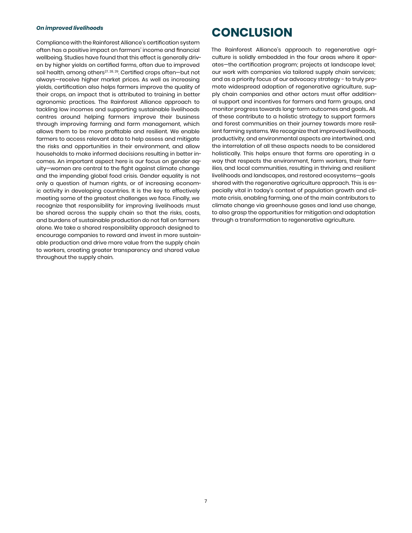#### *On improved livelihoods*

Compliance with the Rainforest Alliance's certification system often has a positive impact on farmers' income and financial wellbeing. Studies have found that this effect is generally driven by higher yields on certified farms, often due to improved soil health, among others<sup>27, 28, 29</sup>. Certified crops often-but not always—receive higher market prices. As well as increasing yields, certification also helps farmers improve the quality of their crops, an impact that is attributed to training in better agronomic practices. The Rainforest Alliance approach to tackling low incomes and supporting sustainable livelihoods centres around helping farmers improve their business through improving farming and farm management, which allows them to be more profitable and resilient. We enable farmers to access relevant data to help assess and mitigate the risks and opportunities in their environment, and allow households to make informed decisions resulting in better incomes. An important aspect here is our focus on gender equity—women are central to the fight against climate change and the impending global food crisis. Gender equality is not only a question of human rights, or of increasing economic activity in developing countries. It is the key to effectively meeting some of the greatest challenges we face. Finally, we recognize that responsibility for improving livelihoods must be shared across the supply chain so that the risks, costs, and burdens of sustainable production do not fall on farmers alone. We take a shared responsibility approach designed to encourage companies to reward and invest in more sustainable production and drive more value from the supply chain to workers, creating greater transparency and shared value throughout the supply chain.

### **CONCLUSION**

The Rainforest Alliance's approach to regenerative agriculture is solidly embedded in the four areas where it operates—the certification program; projects at landscape level; our work with companies via tailored supply chain services; and as a priority focus of our advocacy strategy - to truly promote widespread adoption of regenerative agriculture, supply chain companies and other actors must offer additional support and incentives for farmers and farm groups, and monitor progress towards long-term outcomes and goals.. All of these contribute to a holistic strategy to support farmers and forest communities on their journey towards more resilient farming systems. We recognize that improved livelihoods, productivity, and environmental aspects are intertwined, and the interrelation of all these aspects needs to be considered holistically. This helps ensure that farms are operating in a way that respects the environment, farm workers, their families, and local communities, resulting in thriving and resilient livelihoods and landscapes, and restored ecosystems—goals shared with the regenerative agriculture approach. This is especially vital in today's context of population growth and climate crisis, enabling farming, one of the main contributors to climate change via greenhouse gases and land use change, to also grasp the opportunities for mitigation and adaptation through a transformation to regenerative agriculture.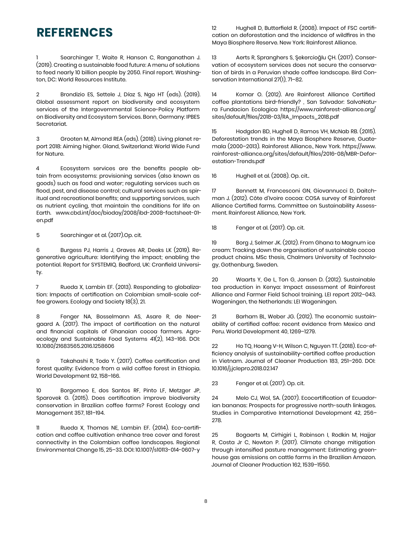### **REFERENCES**

Searchinger T, Waite R, Hanson C, Ranganathan J. (2019). Creating a sustainable food future: A menu of solutions to feed nearly 10 billion people by 2050. Final report. Washington, DC: World Resources Institute.

2 Brondizio ES, Settele J, Díaz S, Ngo HT (eds). (2019). Global assessment report on biodiversity and ecosystem services of the Intergovernmental Science-Policy Platform on Biodiversity and Ecosystem Services. Bonn, Germany: IPBES Secretariat.

3 Grooten M, Almond REA (eds). (2018). Living planet report 2018: Aiming higher. Gland, Switzerland: World Wide Fund for Nature.

4 Ecosystem services are the benefits people obtain from ecosystems: provisioning services (also known as goods) such as food and water; regulating services such as flood, pest, and disease control; cultural services such as spiritual and recreational benefits; and supporting services, such as nutrient cycling, that maintain the conditions for life on Earth. [www.cbd.int/doc/bioday/2008/ibd-2008-factsheet-01](http://www.cbd.int/doc/bioday/2008/ibd-2008-factsheet-01-en.pdf) [en.pdf](http://www.cbd.int/doc/bioday/2008/ibd-2008-factsheet-01-en.pdf)

5 Searchinger et al. (2017).Op. cit.

6 Burgess PJ, Harris J, Graves AR, Deeks LK (2019). Regenerative agriculture: Identifying the impact; enabling the potential. Report for SYSTEMIQ. Bedford, UK: Cranfield University.

7 Rueda X, Lambin EF. (2013). Responding to globalization: Impacts of certification on Colombian small-scale coffee growers. Ecology and Society 18(3), 21.

8 Fenger NA, Bosselmann AS, Asare R, de Neergaard A. (2017). The impact of certification on the natural and financial capitals of Ghanaian cocoa farmers. Agroecology and Sustainable Food Systems 41(2), 143–166. DOI: 10.1080/21683565.2016.1258606

9 Takahashi R, Todo Y. (2017). Coffee certification and forest quality: Evidence from a wild coffee forest in Ethiopia. World Development 92, 158–166.

10 Borgomeo E, dos Santos RF, Pinto LF, Metzger JP, Sparovek G. (2015). Does certification improve biodiversity conservation in Brazilian coffee farms? Forest Ecology and Management 357, 181–194.

11 Rueda X, Thomas NE, Lambin EF. (2014). Eco-certification and coffee cultivation enhance tree cover and forest connectivity in the Colombian coffee landscapes. Regional Environmental Change 15, 25–33. DOI: 10.1007/s10113-014-0607-y

12 Hughell D, Butterfield R. (2008). Impact of FSC certification on deforestation and the incidence of wildfires in the Maya Biosphere Reserve. New York: Rainforest Alliance.

13 Aerts R, Spranghers S, Şekercioğlu ÇH. (2017). Conservation of ecosystem services does not secure the conservation of birds in a Peruvian shade coffee landscape. Bird Conservation International 27(1), 71–82.

14 Komar O. (2012). Are Rainforest Alliance Certified coffee plantations bird-friendly? , San Salvador: SalvaNatura Fundacion Ecologica [https://www.rainforest-alliance.org/](https://www.rainforest-alliance.org/sites/default/files/2018-03/RA_Impacts_2018.pdf) [sites/default/files/2018-03/RA\\_Impacts\\_2018.pdf](https://www.rainforest-alliance.org/sites/default/files/2018-03/RA_Impacts_2018.pdf)

15 Hodgdon BD, Hughell D, Ramos VH, McNab RB. (2015). Deforestation trends in the Maya Biosphere Reserve, Guatemala (2000–2013). Rainforest Alliance., New York. [https://www.](https://www.rainforest-alliance.org/sites/default/files/2016-08/MBR-Deforestation-Trends.pdf) [rainforest-alliance.org/sites/default/files/2016-08/MBR-Defor](https://www.rainforest-alliance.org/sites/default/files/2016-08/MBR-Deforestation-Trends.pdf)[estation-Trends.pdf](https://www.rainforest-alliance.org/sites/default/files/2016-08/MBR-Deforestation-Trends.pdf)

16 Hughell et al. (2008). Op. cit..

17 Bennett M, Francesconi GN, Giovannucci D, Daitchman J. (2012). Côte d'Ivoire cocoa: COSA survey of Rainforest Alliance Certified farms. Committee on Sustainability Assessment. Rainforest Alliance, New York.

18 Fenger et al. (2017). Op. cit.

19 Borg J, Selmer JK. (2012). From Ghana to Magnum ice cream: Tracking down the organisation of sustainable cocoa product chains. MSc thesis, Chalmers University of Technology, Gothenburg, Sweden.

20 Waarts Y, Ge L, Ton G, Jansen D. (2012). Sustainable tea production in Kenya: Impact assessment of Rainforest Alliance and Farmer Field School training. LEI report 2012–043. Wageningen, the Netherlands: LEI Wageningen.

21 Barham BL, Weber JG. (2012). The economic sustainability of certified coffee: recent evidence from Mexico and Peru. World Development 40, 1269–1279.

22 Ho TQ, Hoang V-H, Wilson C, Nguyen TT. (2018). Eco-efficiency analysis of sustainability-certified coffee production in Vietnam. Journal of Cleaner Production 183, 251–260. DOI: 10.1016/j.jclepro.2018.02.147

23 Fenger et al. (2017). Op. cit.

24 Melo CJ, Wol, SA. (2007). Ecocertification of Ecuadorian bananas: Prospects for progressive north-south linkages. Studies in Comparative International Development 42, 256– 278.

25 Bogaerts M, Cirhigiri L, Robinson I, Rodkin M, Hajjar R, Costa Jr C, Newton P. (2017). Climate change mitigation through intensified pasture management: Estimating greenhouse gas emissions on cattle farms in the Brazilian Amazon. Journal of Cleaner Production 162, 1539–1550.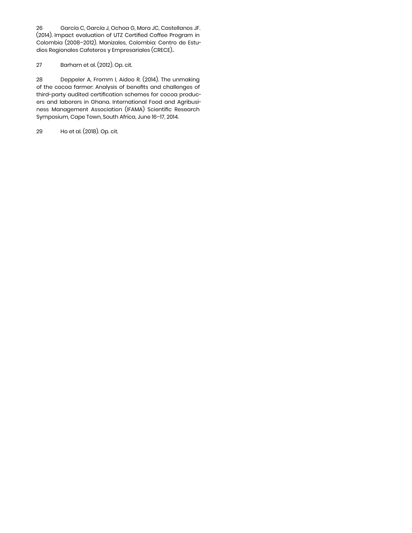26 García C, García J, Ochoa G, Mora JC, Castellanos JF. (2014). Impact evaluation of UTZ Certified Coffee Program in Colombia (2008–2012). Manizales, Colombia: Centro de Estudios Regionales Cafeteros y Empresariales (CRECE)..

#### 27 Barham et al. (2012). Op. cit.

28 Deppeler A, Fromm I, Aidoo R. (2014). The unmaking of the cocoa farmer: Analysis of benefits and challenges of third-party audited certification schemes for cocoa producers and laborers in Ghana. International Food and Agribusiness Management Association (IFAMA) Scientific Research Symposium, Cape Town, South Africa, June 16–17, 2014.

29 Ho et al. (2018). Op. cit.